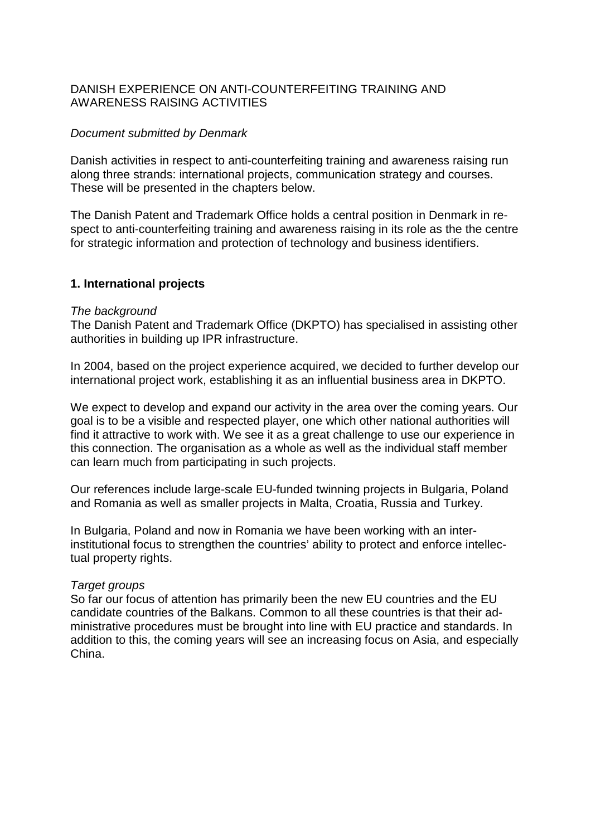# DANISH EXPERIENCE ON ANTI-COUNTERFEITING TRAINING AND AWARENESS RAISING ACTIVITIES

# Document submitted by Denmark

Danish activities in respect to anti-counterfeiting training and awareness raising run along three strands: international projects, communication strategy and courses. These will be presented in the chapters below.

The Danish Patent and Trademark Office holds a central position in Denmark in respect to anti-counterfeiting training and awareness raising in its role as the the centre for strategic information and protection of technology and business identifiers.

## **1. International projects**

### The background

The Danish Patent and Trademark Office (DKPTO) has specialised in assisting other authorities in building up IPR infrastructure.

In 2004, based on the project experience acquired, we decided to further develop our international project work, establishing it as an influential business area in DKPTO.

We expect to develop and expand our activity in the area over the coming years. Our goal is to be a visible and respected player, one which other national authorities will find it attractive to work with. We see it as a great challenge to use our experience in this connection. The organisation as a whole as well as the individual staff member can learn much from participating in such projects.

Our references include large-scale EU-funded twinning projects in Bulgaria, Poland and Romania as well as smaller projects in Malta, Croatia, Russia and Turkey.

In Bulgaria, Poland and now in Romania we have been working with an interinstitutional focus to strengthen the countries' ability to protect and enforce intellectual property rights.

## Target groups

So far our focus of attention has primarily been the new EU countries and the EU candidate countries of the Balkans. Common to all these countries is that their administrative procedures must be brought into line with EU practice and standards. In addition to this, the coming years will see an increasing focus on Asia, and especially China.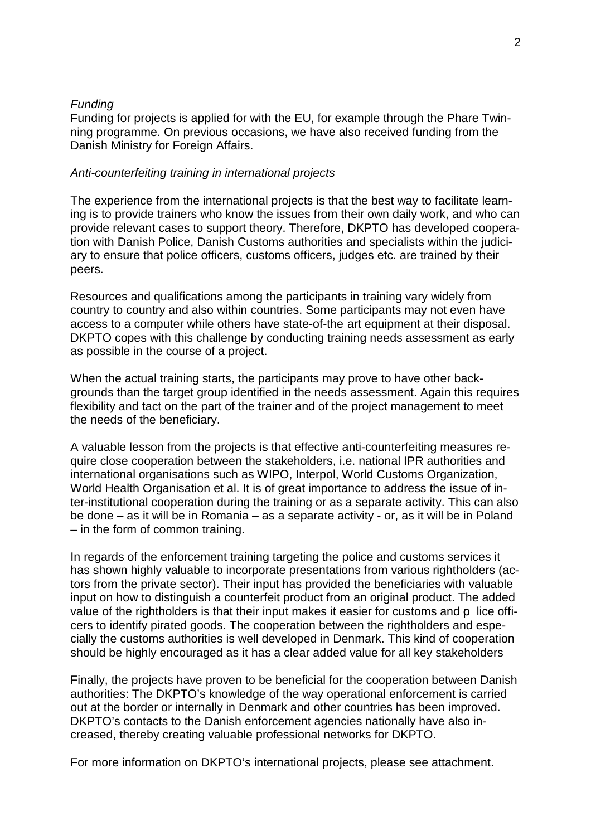### Funding

Funding for projects is applied for with the EU, for example through the Phare Twinning programme. On previous occasions, we have also received funding from the Danish Ministry for Foreign Affairs.

#### Anti-counterfeiting training in international projects

The experience from the international projects is that the best way to facilitate learning is to provide trainers who know the issues from their own daily work, and who can provide relevant cases to support theory. Therefore, DKPTO has developed cooperation with Danish Police, Danish Customs authorities and specialists within the judiciary to ensure that police officers, customs officers, judges etc. are trained by their peers.

Resources and qualifications among the participants in training vary widely from country to country and also within countries. Some participants may not even have access to a computer while others have state-of-the art equipment at their disposal. DKPTO copes with this challenge by conducting training needs assessment as early as possible in the course of a project.

When the actual training starts, the participants may prove to have other backgrounds than the target group identified in the needs assessment. Again this requires flexibility and tact on the part of the trainer and of the project management to meet the needs of the beneficiary.

A valuable lesson from the projects is that effective anti-counterfeiting measures require close cooperation between the stakeholders, i.e. national IPR authorities and international organisations such as WIPO, Interpol, World Customs Organization, World Health Organisation et al. It is of great importance to address the issue of inter-institutional cooperation during the training or as a separate activity. This can also be done – as it will be in Romania – as a separate activity - or, as it will be in Poland – in the form of common training.

In regards of the enforcement training targeting the police and customs services it has shown highly valuable to incorporate presentations from various rightholders (actors from the private sector). Their input has provided the beneficiaries with valuable input on how to distinguish a counterfeit product from an original product. The added value of the rightholders is that their input makes it easier for customs and p lice officers to identify pirated goods. The cooperation between the rightholders and especially the customs authorities is well developed in Denmark. This kind of cooperation should be highly encouraged as it has a clear added value for all key stakeholders

Finally, the projects have proven to be beneficial for the cooperation between Danish authorities: The DKPTO's knowledge of the way operational enforcement is carried out at the border or internally in Denmark and other countries has been improved. DKPTO's contacts to the Danish enforcement agencies nationally have also increased, thereby creating valuable professional networks for DKPTO.

For more information on DKPTO's international projects, please see attachment.